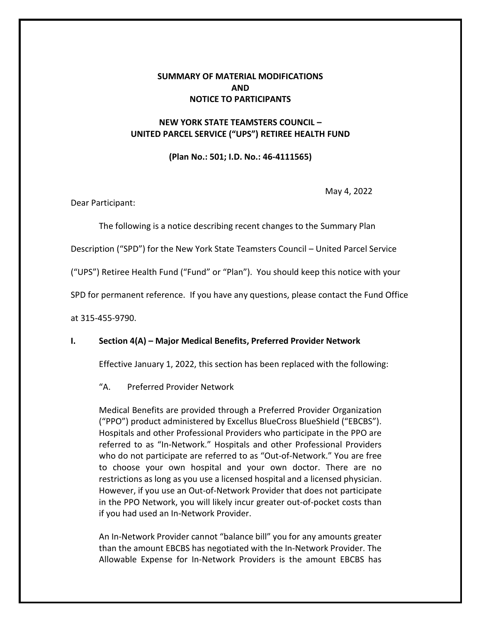# **SUMMARY OF MATERIAL MODIFICATIONS AND NOTICE TO PARTICIPANTS**

## **NEW YORK STATE TEAMSTERS COUNCIL – UNITED PARCEL SERVICE ("UPS") RETIREE HEALTH FUND**

**(Plan No.: 501; I.D. No.: 46-4111565)**

May 4, 2022

Dear Participant:

The following is a notice describing recent changes to the Summary Plan

Description ("SPD") for the New York State Teamsters Council – United Parcel Service

("UPS") Retiree Health Fund ("Fund" or "Plan"). You should keep this notice with your

SPD for permanent reference. If you have any questions, please contact the Fund Office

at 315-455-9790.

### **I. Section 4(A) – Major Medical Benefits, Preferred Provider Network**

Effective January 1, 2022, this section has been replaced with the following:

"A. Preferred Provider Network

Medical Benefits are provided through a Preferred Provider Organization ("PPO") product administered by Excellus BlueCross BlueShield ("EBCBS"). Hospitals and other Professional Providers who participate in the PPO are referred to as "In‐Network." Hospitals and other Professional Providers who do not participate are referred to as "Out‐of‐Network." You are free to choose your own hospital and your own doctor. There are no restrictions as long as you use a licensed hospital and a licensed physician. However, if you use an Out‐of‐Network Provider that does not participate in the PPO Network, you will likely incur greater out‐of‐pocket costs than if you had used an In‐Network Provider.

An In‐Network Provider cannot "balance bill" you for any amounts greater than the amount EBCBS has negotiated with the In‐Network Provider. The Allowable Expense for In‐Network Providers is the amount EBCBS has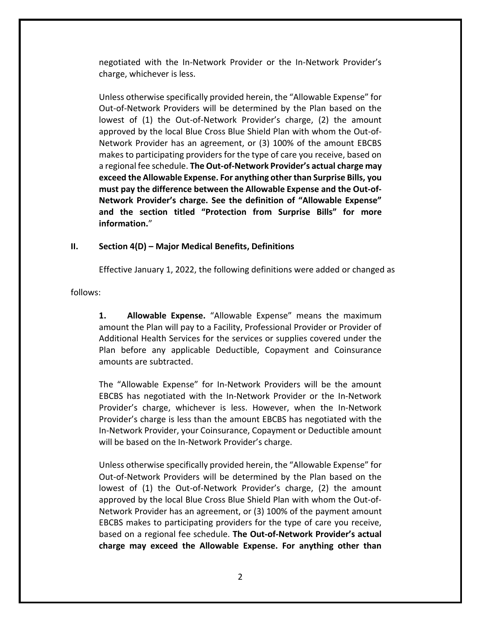negotiated with the In‐Network Provider or the In‐Network Provider's charge, whichever is less.

Unless otherwise specifically provided herein, the "Allowable Expense" for Out-of‐Network Providers will be determined by the Plan based on the lowest of (1) the Out-of‐Network Provider's charge, (2) the amount approved by the local Blue Cross Blue Shield Plan with whom the Out‐of‐ Network Provider has an agreement, or (3) 100% of the amount EBCBS makes to participating providers for the type of care you receive, based on a regional fee schedule. **The Out‐of‐Network Provider's actual charge may exceed the Allowable Expense. For anything other than Surprise Bills, you must pay the difference between the Allowable Expense and the Out‐of‐ Network Provider's charge. See the definition of "Allowable Expense" and the section titled "Protection from Surprise Bills" for more information.**"

## **II. Section 4(D) – Major Medical Benefits, Definitions**

Effective January 1, 2022, the following definitions were added or changed as

follows:

**1. Allowable Expense.** "Allowable Expense" means the maximum amount the Plan will pay to a Facility, Professional Provider or Provider of Additional Health Services for the services or supplies covered under the Plan before any applicable Deductible, Copayment and Coinsurance amounts are subtracted.

The "Allowable Expense" for In‐Network Providers will be the amount EBCBS has negotiated with the In‐Network Provider or the In‐Network Provider's charge, whichever is less. However, when the In‐Network Provider's charge is less than the amount EBCBS has negotiated with the In‐Network Provider, your Coinsurance, Copayment or Deductible amount will be based on the In‐Network Provider's charge.

Unless otherwise specifically provided herein, the "Allowable Expense" for Out‐of‐Network Providers will be determined by the Plan based on the lowest of (1) the Out-of-Network Provider's charge, (2) the amount approved by the local Blue Cross Blue Shield Plan with whom the Out‐of‐ Network Provider has an agreement, or (3) 100% of the payment amount EBCBS makes to participating providers for the type of care you receive, based on a regional fee schedule. **The Out‐of‐Network Provider's actual charge may exceed the Allowable Expense. For anything other than**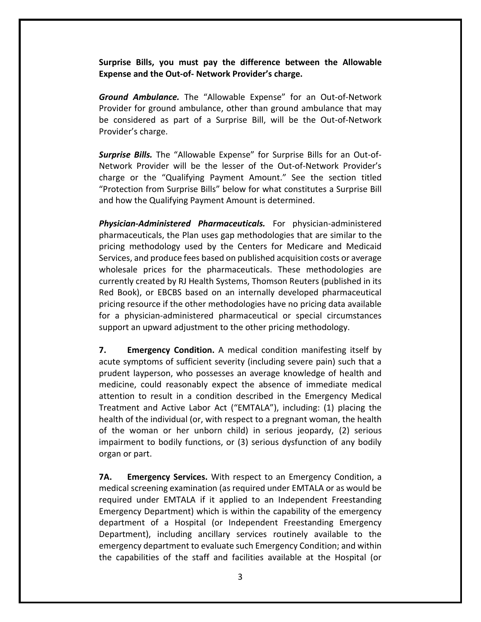**Surprise Bills, you must pay the difference between the Allowable Expense and the Out‐of‐ Network Provider's charge.** 

*Ground Ambulance.* The "Allowable Expense" for an Out‐of‐Network Provider for ground ambulance, other than ground ambulance that may be considered as part of a Surprise Bill, will be the Out‐of‐Network Provider's charge.

*Surprise Bills.* The "Allowable Expense" for Surprise Bills for an Out‐of‐ Network Provider will be the lesser of the Out‐of‐Network Provider's charge or the "Qualifying Payment Amount." See the section titled "Protection from Surprise Bills" below for what constitutes a Surprise Bill and how the Qualifying Payment Amount is determined.

*Physician‐Administered Pharmaceuticals.* For physician‐administered pharmaceuticals, the Plan uses gap methodologies that are similar to the pricing methodology used by the Centers for Medicare and Medicaid Services, and produce fees based on published acquisition costs or average wholesale prices for the pharmaceuticals. These methodologies are currently created by RJ Health Systems, Thomson Reuters (published in its Red Book), or EBCBS based on an internally developed pharmaceutical pricing resource if the other methodologies have no pricing data available for a physician‐administered pharmaceutical or special circumstances support an upward adjustment to the other pricing methodology.

**7. Emergency Condition.** A medical condition manifesting itself by acute symptoms of sufficient severity (including severe pain) such that a prudent layperson, who possesses an average knowledge of health and medicine, could reasonably expect the absence of immediate medical attention to result in a condition described in the Emergency Medical Treatment and Active Labor Act ("EMTALA"), including: (1) placing the health of the individual (or, with respect to a pregnant woman, the health of the woman or her unborn child) in serious jeopardy, (2) serious impairment to bodily functions, or (3) serious dysfunction of any bodily organ or part.

**7A. Emergency Services.** With respect to an Emergency Condition, a medical screening examination (as required under EMTALA or as would be required under EMTALA if it applied to an Independent Freestanding Emergency Department) which is within the capability of the emergency department of a Hospital (or Independent Freestanding Emergency Department), including ancillary services routinely available to the emergency department to evaluate such Emergency Condition; and within the capabilities of the staff and facilities available at the Hospital (or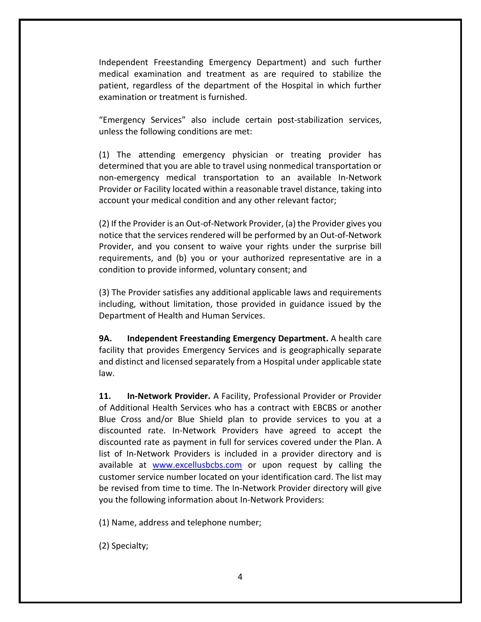Independent Freestanding Emergency Department) and such further medical examination and treatment as are required to stabilize the patient, regardless of the department of the Hospital in which further examination or treatment is furnished.

"Emergency Services" also include certain post‐stabilization services, unless the following conditions are met:

(1) The attending emergency physician or treating provider has determined that you are able to travel using nonmedical transportation or non‐emergency medical transportation to an available In‐Network Provider or Facility located within a reasonable travel distance, taking into account your medical condition and any other relevant factor;

(2) If the Provider is an Out‐of‐Network Provider, (a) the Provider gives you notice that the services rendered will be performed by an Out‐of‐Network Provider, and you consent to waive your rights under the surprise bill requirements, and (b) you or your authorized representative are in a condition to provide informed, voluntary consent; and

(3) The Provider satisfies any additional applicable laws and requirements including, without limitation, those provided in guidance issued by the Department of Health and Human Services.

**9A. Independent Freestanding Emergency Department.** A health care facility that provides Emergency Services and is geographically separate and distinct and licensed separately from a Hospital under applicable state law.

**11. In‐Network Provider.** A Facility, Professional Provider or Provider of Additional Health Services who has a contract with EBCBS or another Blue Cross and/or Blue Shield plan to provide services to you at a discounted rate. In‐Network Providers have agreed to accept the discounted rate as payment in full for services covered under the Plan. A list of In‐Network Providers is included in a provider directory and is available at www.excellusbcbs.com or upon request by calling the customer service number located on your identification card. The list may be revised from time to time. The In‐Network Provider directory will give you the following information about In‐Network Providers:

(1) Name, address and telephone number;

(2) Specialty;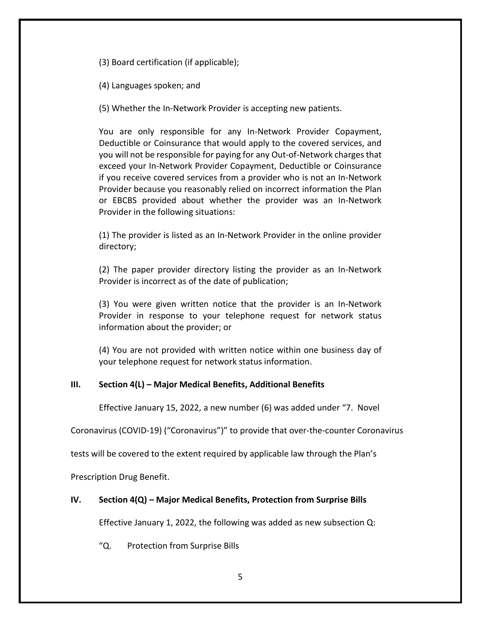(3) Board certification (if applicable);

(4) Languages spoken; and

(5) Whether the In‐Network Provider is accepting new patients.

You are only responsible for any In‐Network Provider Copayment, Deductible or Coinsurance that would apply to the covered services, and you will not be responsible for paying for any Out‐of‐Network charges that exceed your In‐Network Provider Copayment, Deductible or Coinsurance if you receive covered services from a provider who is not an In‐Network Provider because you reasonably relied on incorrect information the Plan or EBCBS provided about whether the provider was an In‐Network Provider in the following situations:

(1) The provider is listed as an In‐Network Provider in the online provider directory;

(2) The paper provider directory listing the provider as an In‐Network Provider is incorrect as of the date of publication;

(3) You were given written notice that the provider is an In‐Network Provider in response to your telephone request for network status information about the provider; or

(4) You are not provided with written notice within one business day of your telephone request for network status information.

### **III. Section 4(L) – Major Medical Benefits, Additional Benefits**

Effective January 15, 2022, a new number (6) was added under "7. Novel

Coronavirus (COVID-19) ("Coronavirus")" to provide that over-the-counter Coronavirus

tests will be covered to the extent required by applicable law through the Plan's

Prescription Drug Benefit.

### **IV. Section 4(Q) – Major Medical Benefits, Protection from Surprise Bills**

Effective January 1, 2022, the following was added as new subsection Q:

"Q. Protection from Surprise Bills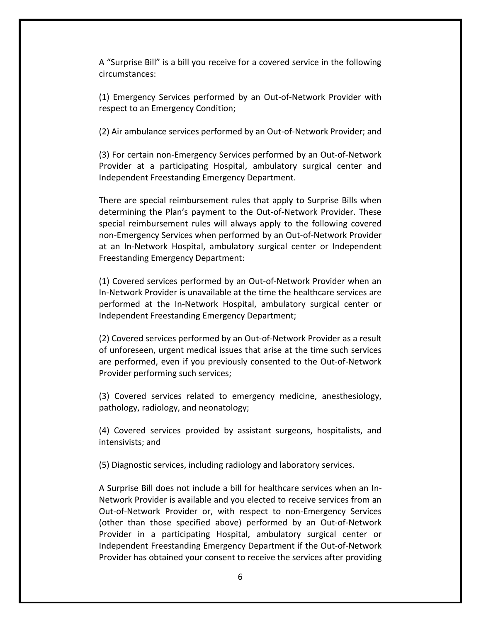A "Surprise Bill" is a bill you receive for a covered service in the following circumstances:

(1) Emergency Services performed by an Out‐of‐Network Provider with respect to an Emergency Condition;

(2) Air ambulance services performed by an Out‐of‐Network Provider; and

(3) For certain non‐Emergency Services performed by an Out‐of‐Network Provider at a participating Hospital, ambulatory surgical center and Independent Freestanding Emergency Department.

There are special reimbursement rules that apply to Surprise Bills when determining the Plan's payment to the Out‐of‐Network Provider. These special reimbursement rules will always apply to the following covered non‐Emergency Services when performed by an Out‐of‐Network Provider at an In‐Network Hospital, ambulatory surgical center or Independent Freestanding Emergency Department:

(1) Covered services performed by an Out‐of‐Network Provider when an In‐Network Provider is unavailable at the time the healthcare services are performed at the In‐Network Hospital, ambulatory surgical center or Independent Freestanding Emergency Department;

(2) Covered services performed by an Out‐of‐Network Provider as a result of unforeseen, urgent medical issues that arise at the time such services are performed, even if you previously consented to the Out‐of‐Network Provider performing such services;

(3) Covered services related to emergency medicine, anesthesiology, pathology, radiology, and neonatology;

(4) Covered services provided by assistant surgeons, hospitalists, and intensivists; and

(5) Diagnostic services, including radiology and laboratory services.

A Surprise Bill does not include a bill for healthcare services when an In-Network Provider is available and you elected to receive services from an Out‐of‐Network Provider or, with respect to non‐Emergency Services (other than those specified above) performed by an Out‐of‐Network Provider in a participating Hospital, ambulatory surgical center or Independent Freestanding Emergency Department if the Out‐of‐Network Provider has obtained your consent to receive the services after providing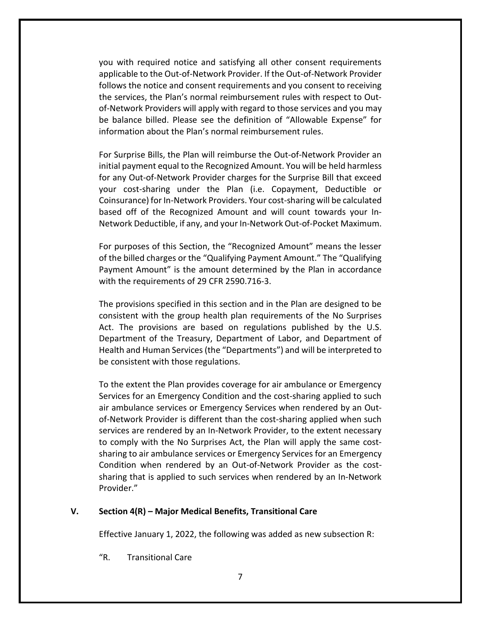you with required notice and satisfying all other consent requirements applicable to the Out‐of‐Network Provider. If the Out‐of‐Network Provider follows the notice and consent requirements and you consent to receiving the services, the Plan's normal reimbursement rules with respect to Out‐ of‐Network Providers will apply with regard to those services and you may be balance billed. Please see the definition of "Allowable Expense" for information about the Plan's normal reimbursement rules.

For Surprise Bills, the Plan will reimburse the Out‐of‐Network Provider an initial payment equal to the Recognized Amount. You will be held harmless for any Out‐of-Network Provider charges for the Surprise Bill that exceed your cost‐sharing under the Plan (i.e. Copayment, Deductible or Coinsurance) for In‐Network Providers. Your cost‐sharing will be calculated based off of the Recognized Amount and will count towards your In‐ Network Deductible, if any, and your In‐Network Out‐of‐Pocket Maximum.

For purposes of this Section, the "Recognized Amount" means the lesser of the billed charges or the "Qualifying Payment Amount." The "Qualifying Payment Amount" is the amount determined by the Plan in accordance with the requirements of 29 CFR 2590.716‐3.

The provisions specified in this section and in the Plan are designed to be consistent with the group health plan requirements of the No Surprises Act. The provisions are based on regulations published by the U.S. Department of the Treasury, Department of Labor, and Department of Health and Human Services (the "Departments") and will be interpreted to be consistent with those regulations.

To the extent the Plan provides coverage for air ambulance or Emergency Services for an Emergency Condition and the cost‐sharing applied to such air ambulance services or Emergency Services when rendered by an Out‐ of‐Network Provider is different than the cost‐sharing applied when such services are rendered by an In‐Network Provider, to the extent necessary to comply with the No Surprises Act, the Plan will apply the same cost‐ sharing to air ambulance services or Emergency Services for an Emergency Condition when rendered by an Out‐of‐Network Provider as the cost‐ sharing that is applied to such services when rendered by an In‐Network Provider."

#### **V. Section 4(R) – Major Medical Benefits, Transitional Care**

Effective January 1, 2022, the following was added as new subsection R:

"R. Transitional Care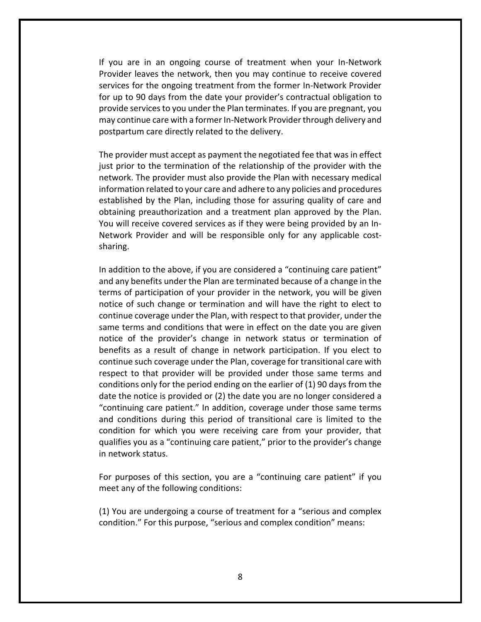If you are in an ongoing course of treatment when your In‐Network Provider leaves the network, then you may continue to receive covered services for the ongoing treatment from the former In‐Network Provider for up to 90 days from the date your provider's contractual obligation to provide services to you under the Plan terminates. If you are pregnant, you may continue care with a former In‐Network Provider through delivery and postpartum care directly related to the delivery.

The provider must accept as payment the negotiated fee that was in effect just prior to the termination of the relationship of the provider with the network. The provider must also provide the Plan with necessary medical information related to your care and adhere to any policies and procedures established by the Plan, including those for assuring quality of care and obtaining preauthorization and a treatment plan approved by the Plan. You will receive covered services as if they were being provided by an In‐ Network Provider and will be responsible only for any applicable cost‐ sharing.

In addition to the above, if you are considered a "continuing care patient" and any benefits under the Plan are terminated because of a change in the terms of participation of your provider in the network, you will be given notice of such change or termination and will have the right to elect to continue coverage under the Plan, with respect to that provider, under the same terms and conditions that were in effect on the date you are given notice of the provider's change in network status or termination of benefits as a result of change in network participation. If you elect to continue such coverage under the Plan, coverage for transitional care with respect to that provider will be provided under those same terms and conditions only for the period ending on the earlier of (1) 90 days from the date the notice is provided or (2) the date you are no longer considered a "continuing care patient." In addition, coverage under those same terms and conditions during this period of transitional care is limited to the condition for which you were receiving care from your provider, that qualifies you as a "continuing care patient," prior to the provider's change in network status.

For purposes of this section, you are a "continuing care patient" if you meet any of the following conditions:

(1) You are undergoing a course of treatment for a "serious and complex condition." For this purpose, "serious and complex condition" means: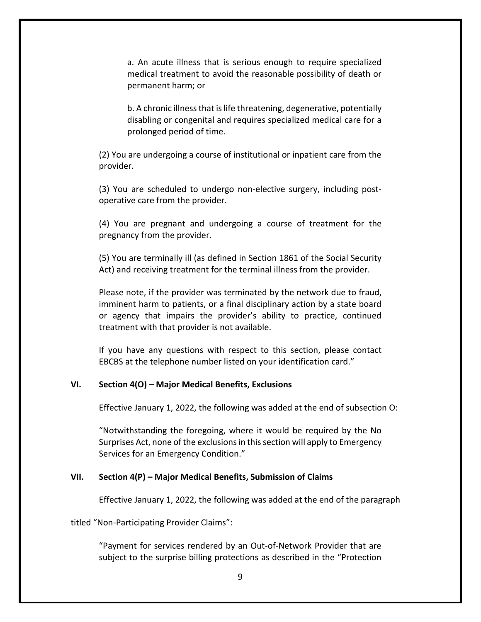a. An acute illness that is serious enough to require specialized medical treatment to avoid the reasonable possibility of death or permanent harm; or

b. A chronic illness that is life threatening, degenerative, potentially disabling or congenital and requires specialized medical care for a prolonged period of time.

(2) You are undergoing a course of institutional or inpatient care from the provider.

(3) You are scheduled to undergo non‐elective surgery, including post‐ operative care from the provider.

(4) You are pregnant and undergoing a course of treatment for the pregnancy from the provider.

(5) You are terminally ill (as defined in Section 1861 of the Social Security Act) and receiving treatment for the terminal illness from the provider.

Please note, if the provider was terminated by the network due to fraud, imminent harm to patients, or a final disciplinary action by a state board or agency that impairs the provider's ability to practice, continued treatment with that provider is not available.

If you have any questions with respect to this section, please contact EBCBS at the telephone number listed on your identification card."

#### **VI. Section 4(O) – Major Medical Benefits, Exclusions**

Effective January 1, 2022, the following was added at the end of subsection O:

"Notwithstanding the foregoing, where it would be required by the No Surprises Act, none of the exclusions in this section will apply to Emergency Services for an Emergency Condition."

#### **VII. Section 4(P) – Major Medical Benefits, Submission of Claims**

Effective January 1, 2022, the following was added at the end of the paragraph

titled "Non-Participating Provider Claims":

"Payment for services rendered by an Out‐of‐Network Provider that are subject to the surprise billing protections as described in the "Protection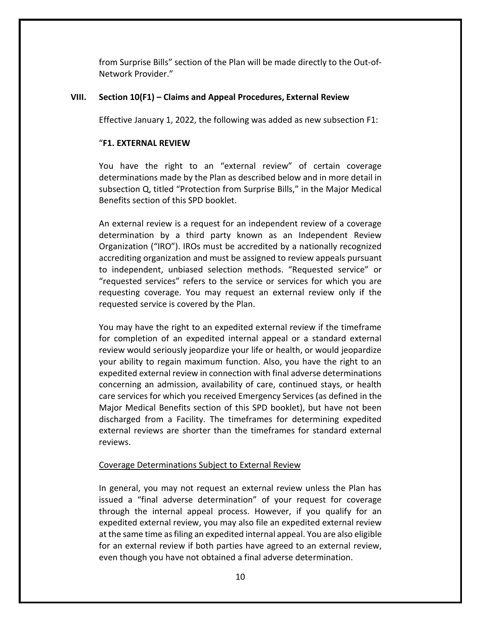from Surprise Bills" section of the Plan will be made directly to the Out‐of‐ Network Provider."

### **VIII. Section 10(F1) – Claims and Appeal Procedures, External Review**

Effective January 1, 2022, the following was added as new subsection F1:

#### "**F1. EXTERNAL REVIEW**

You have the right to an "external review" of certain coverage determinations made by the Plan as described below and in more detail in subsection Q, titled "Protection from Surprise Bills," in the Major Medical Benefits section of this SPD booklet.

An external review is a request for an independent review of a coverage determination by a third party known as an Independent Review Organization ("IRO"). IROs must be accredited by a nationally recognized accrediting organization and must be assigned to review appeals pursuant to independent, unbiased selection methods. "Requested service" or "requested services" refers to the service or services for which you are requesting coverage. You may request an external review only if the requested service is covered by the Plan.

You may have the right to an expedited external review if the timeframe for completion of an expedited internal appeal or a standard external review would seriously jeopardize your life or health, or would jeopardize your ability to regain maximum function. Also, you have the right to an expedited external review in connection with final adverse determinations concerning an admission, availability of care, continued stays, or health care services for which you received Emergency Services (as defined in the Major Medical Benefits section of this SPD booklet), but have not been discharged from a Facility. The timeframes for determining expedited external reviews are shorter than the timeframes for standard external reviews.

#### Coverage Determinations Subject to External Review

In general, you may not request an external review unless the Plan has issued a "final adverse determination" of your request for coverage through the internal appeal process. However, if you qualify for an expedited external review, you may also file an expedited external review at the same time as filing an expedited internal appeal. You are also eligible for an external review if both parties have agreed to an external review, even though you have not obtained a final adverse determination.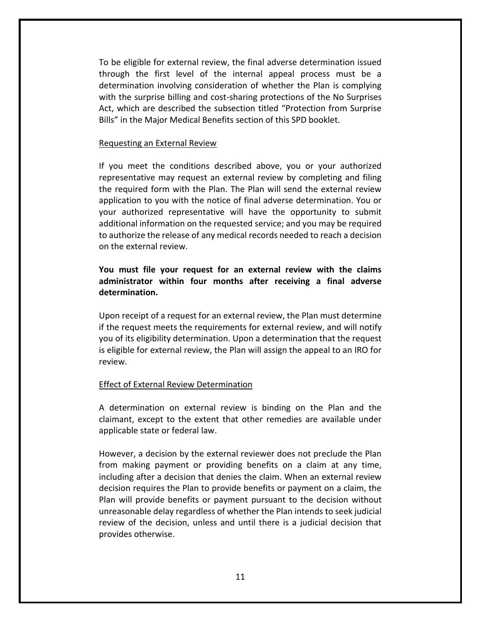To be eligible for external review, the final adverse determination issued through the first level of the internal appeal process must be a determination involving consideration of whether the Plan is complying with the surprise billing and cost-sharing protections of the No Surprises Act, which are described the subsection titled "Protection from Surprise Bills" in the Major Medical Benefits section of this SPD booklet.

#### Requesting an External Review

If you meet the conditions described above, you or your authorized representative may request an external review by completing and filing the required form with the Plan. The Plan will send the external review application to you with the notice of final adverse determination. You or your authorized representative will have the opportunity to submit additional information on the requested service; and you may be required to authorize the release of any medical records needed to reach a decision on the external review.

## **You must file your request for an external review with the claims administrator within four months after receiving a final adverse determination.**

Upon receipt of a request for an external review, the Plan must determine if the request meets the requirements for external review, and will notify you of its eligibility determination. Upon a determination that the request is eligible for external review, the Plan will assign the appeal to an IRO for review.

#### Effect of External Review Determination

A determination on external review is binding on the Plan and the claimant, except to the extent that other remedies are available under applicable state or federal law.

However, a decision by the external reviewer does not preclude the Plan from making payment or providing benefits on a claim at any time, including after a decision that denies the claim. When an external review decision requires the Plan to provide benefits or payment on a claim, the Plan will provide benefits or payment pursuant to the decision without unreasonable delay regardless of whether the Plan intends to seek judicial review of the decision, unless and until there is a judicial decision that provides otherwise.